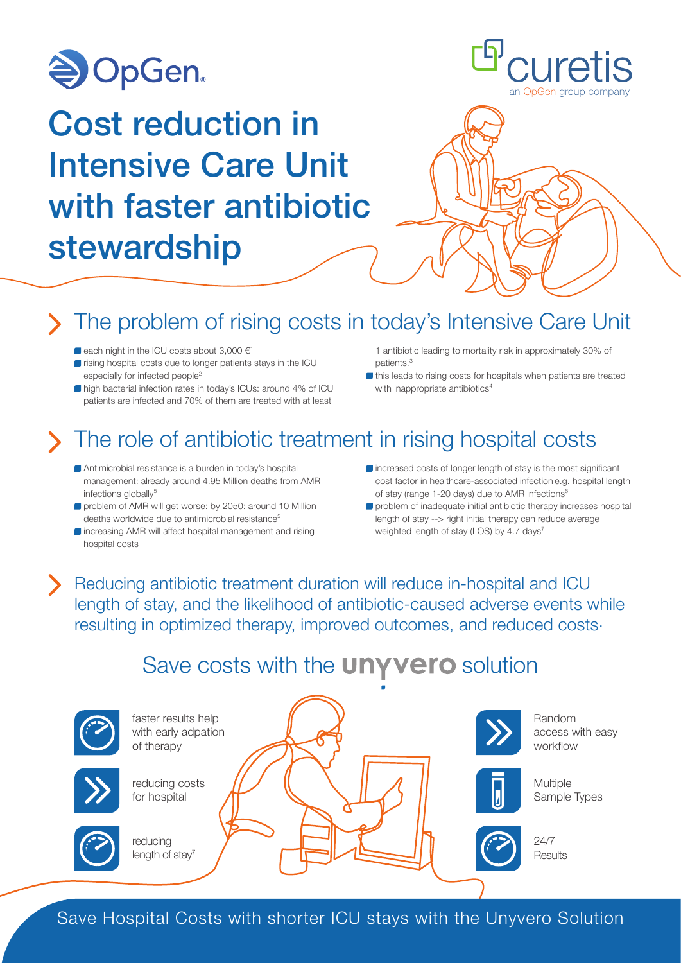

# Cost reduction in Intensive Care Unit with faster antibiotic stewardship



## The problem of rising costs in today's Intensive Care Unit

- $\blacksquare$  each night in the ICU costs about 3,000  $\in$ <sup>1</sup>
- $\blacksquare$  rising hospital costs due to longer patients stays in the ICU especially for infected people<sup>2</sup>
- high bacterial infection rates in today's ICUs: around 4% of ICU patients are infected and 70% of them are treated with at least
- 1 antibiotic leading to mortality risk in approximately 30% of nationts<sup>3</sup>
- If this leads to rising costs for hospitals when patients are treated with inappropriate antibiotics<sup>4</sup>

### The role of antibiotic treatment in rising hospital costs

- Antimicrobial resistance is a burden in today's hospital management: already around 4.95 Million deaths from AMR infections globally<sup>5</sup>
- **problem of AMR will get worse: by 2050: around 10 Million** deaths worldwide due to antimicrobial resistance<sup>5</sup>
- $\blacksquare$  increasing AMR will affect hospital management and rising hospital costs
- $\blacksquare$  increased costs of longer length of stay is the most significant cost factor in healthcare-associated infection e.g. hospital length of stay (range 1-20 days) due to AMR infections<sup>6</sup>
- problem of inadequate initial antibiotic therapy increases hospital length of stay --> right initial therapy can reduce average weighted length of stay (LOS) by 4.7 days<sup>7</sup>

Reducing antibiotic treatment duration will reduce in-hospital and ICU length of stay, and the likelihood of antibiotic-caused adverse events while resulting in optimized therapy, improved outcomes, and reduced costs.

### Save costs with the **UNYVETO** solution



Save Hospital Costs with shorter ICU stays with the Unyvero Solution